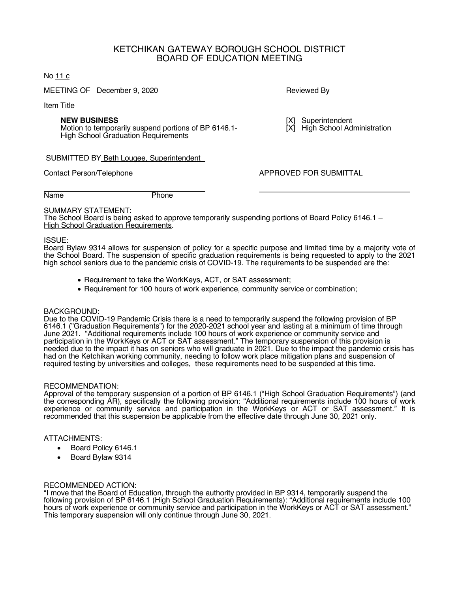## KETCHIKAN GATEWAY BOROUGH SCHOOL DISTRICT BOARD OF EDUCATION MEETING

#### No 11 c

MEETING OF December 9, 2020 **Reviewed By** Reviewed By

Item Title

**NEW BUSINESS** [X] Superintendent<br>
Motion to temporarily suspend portions of BP 6146.1- [X] High School Administration Motion to temporarily suspend portions of BP 6146.1-**High School Graduation Requirements** 

#### SUBMITTED BY Beth Lougee, Superintendent

Contact Person/Telephone **APPROVED FOR SUBMITTAL** 

Name Phone

SUMMARY STATEMENT: The School Board is being asked to approve temporarily suspending portions of Board Policy 6146.1 – High School Graduation Requirements.

#### ISSUE:

Board Bylaw 9314 allows for suspension of policy for a specific purpose and limited time by a majority vote of the School Board. The suspension of specific graduation requirements is being requested to apply to the 2021 high school seniors due to the pandemic crisis of COVID-19. The requirements to be suspended are the:

- Requirement to take the WorkKeys, ACT, or SAT assessment;
- Requirement for 100 hours of work experience, community service or combination;

## BACKGROUND:

Due to the COVID-19 Pandemic Crisis there is a need to temporarily suspend the following provision of BP 6146.1 ("Graduation Requirements") for the 2020-2021 school year and lasting at a minimum of time through June 2021. "Additional requirements include 100 hours of work experience or community service and participation in the WorkKeys or ACT or SAT assessment." The temporary suspension of this provision is needed due to the impact it has on seniors who will graduate in 2021. Due to the impact the pandemic crisis has had on the Ketchikan working community, needing to follow work place mitigation plans and suspension of required testing by universities and colleges, these requirements need to be suspended at this time.

#### RECOMMENDATION:

Approval of the temporary suspension of a portion of BP 6146.1 ("High School Graduation Requirements") (and the corresponding AR), specifically the following provision: "Additional requirements include 100 hours of work experience or community service and participation in the WorkKeys or ACT or SAT assessment." It is recommended that this suspension be applicable from the effective date through June 30, 2021 only.

## ATTACHMENTS:

- Board Policy 6146.1
- Board Bylaw 9314

#### RECOMMENDED ACTION:

"I move that the Board of Education, through the authority provided in BP 9314, temporarily suspend the following provision of BP 6146.1 (High School Graduation Requirements): "Additional requirements include 100 hours of work experience or community service and participation in the WorkKeys or ACT or SAT assessment." This temporary suspension will only continue through June 30, 2021.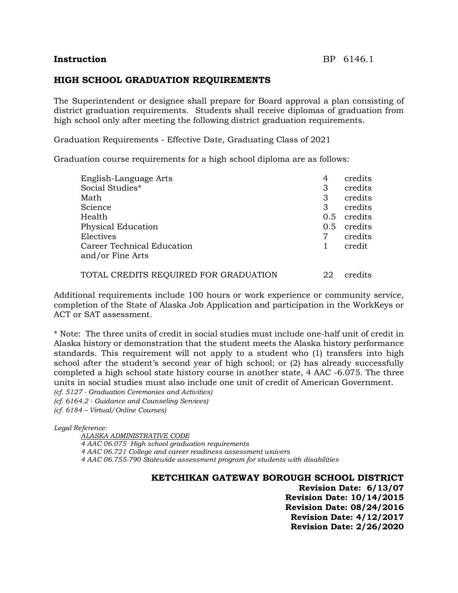## **Instruction** BP 6146.1

## **HIGH SCHOOL GRADUATION REQUIREMENTS**

The Superintendent or designee shall prepare for Board approval a plan consisting of district graduation requirements. Students shall receive diplomas of graduation from high school only after meeting the following district graduation requirements.

Graduation Requirements - Effective Date, Graduating Class of 2021

Graduation course requirements for a high school diploma are as follows:

| English-Language Arts             | 4   | credits |
|-----------------------------------|-----|---------|
| Social Studies*                   | 3   | credits |
| Math                              | 3   | credits |
| Science                           | 3   | credits |
| Health                            | 0.5 | credits |
| <b>Physical Education</b>         | 0.5 | credits |
| Electives                         |     | credits |
| <b>Career Technical Education</b> |     | credit  |
| and/or Fine Arts                  |     |         |
|                                   |     |         |

#### TOTAL CREDITS REQUIRED FOR GRADUATION 22 credits

Additional requirements include 100 hours or work experience or community service, completion of the State of Alaska Job Application and participation in the WorkKeys or ACT or SAT assessment.

\* Note: The three units of credit in social studies must include one-half unit of credit in Alaska history or demonstration that the student meets the Alaska history performance standards. This requirement will not apply to a student who (1) transfers into high school after the student's second year of high school; or (2) has already successfully completed a high school state history course in another state, 4 AAC -6.075. The three units in social studies must also include one unit of credit of American Government.

*(cf. 5127 - Graduation Ceremonies and Activities)*

*(cf. 6164.2 - Guidance and Counseling Services)*

*(cf. 6184 – Virtual/Online Courses)*

*Legal Reference:*

*ALASKA ADMINISTRATIVE CODE 4 AAC 06.075 High school graduation requirements 4 AAC 06.721 College and career readiness assessment waivers 4 AAC 06.755-790 Statewide assessment program for students with disabilities*

**KETCHIKAN GATEWAY BOROUGH SCHOOL DISTRICT**

**Revision Date: 6/13/07 Revision Date: 10/14/2015 Revision Date: 08/24/2016 Revision Date: 4/12/2017 Revision Date: 2/26/2020**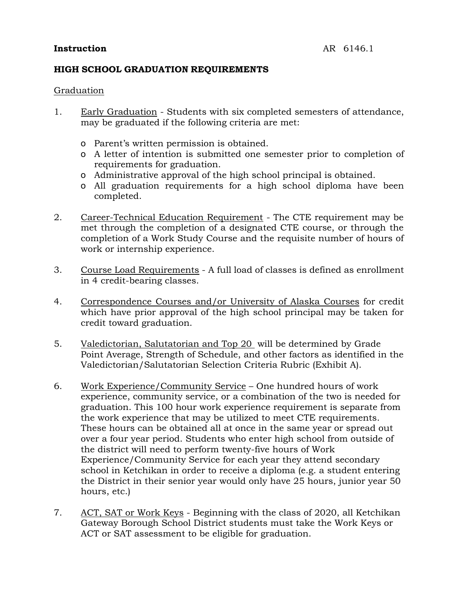# **Instruction** AR 6146.1

# **HIGH SCHOOL GRADUATION REQUIREMENTS**

# Graduation

- 1. Early Graduation Students with six completed semesters of attendance, may be graduated if the following criteria are met:
	- o Parent's written permission is obtained.
	- o A letter of intention is submitted one semester prior to completion of requirements for graduation.
	- o Administrative approval of the high school principal is obtained.
	- o All graduation requirements for a high school diploma have been completed.
- 2. Career-Technical Education Requirement The CTE requirement may be met through the completion of a designated CTE course, or through the completion of a Work Study Course and the requisite number of hours of work or internship experience.
- 3. Course Load Requirements A full load of classes is defined as enrollment in 4 credit-bearing classes.
- 4. Correspondence Courses and/or University of Alaska Courses for credit which have prior approval of the high school principal may be taken for credit toward graduation.
- 5. Valedictorian, Salutatorian and Top 20 will be determined by Grade Point Average, Strength of Schedule, and other factors as identified in the Valedictorian/Salutatorian Selection Criteria Rubric (Exhibit A).
- 6. Work Experience/Community Service One hundred hours of work experience, community service, or a combination of the two is needed for graduation. This 100 hour work experience requirement is separate from the work experience that may be utilized to meet CTE requirements. These hours can be obtained all at once in the same year or spread out over a four year period. Students who enter high school from outside of the district will need to perform twenty-five hours of Work Experience/Community Service for each year they attend secondary school in Ketchikan in order to receive a diploma (e.g. a student entering the District in their senior year would only have 25 hours, junior year 50 hours, etc.)
- 7. ACT, SAT or Work Keys Beginning with the class of 2020, all Ketchikan Gateway Borough School District students must take the Work Keys or ACT or SAT assessment to be eligible for graduation.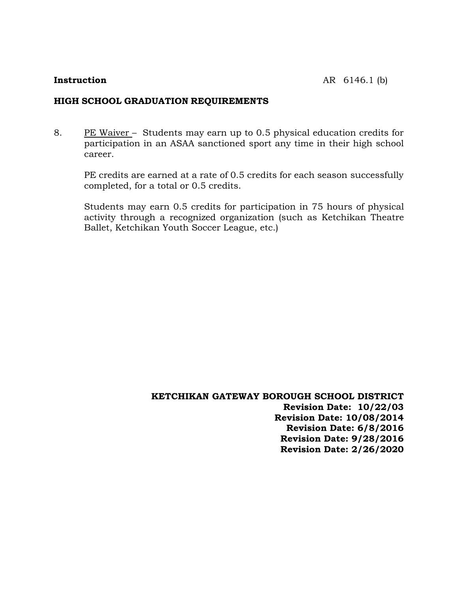## **HIGH SCHOOL GRADUATION REQUIREMENTS**

8. PE Waiver – Students may earn up to 0.5 physical education credits for participation in an ASAA sanctioned sport any time in their high school career.

PE credits are earned at a rate of 0.5 credits for each season successfully completed, for a total or 0.5 credits.

Students may earn 0.5 credits for participation in 75 hours of physical activity through a recognized organization (such as Ketchikan Theatre Ballet, Ketchikan Youth Soccer League, etc.)

> **KETCHIKAN GATEWAY BOROUGH SCHOOL DISTRICT Revision Date: 10/22/03 Revision Date: 10/08/2014 Revision Date: 6/8/2016 Revision Date: 9/28/2016 Revision Date: 2/26/2020**